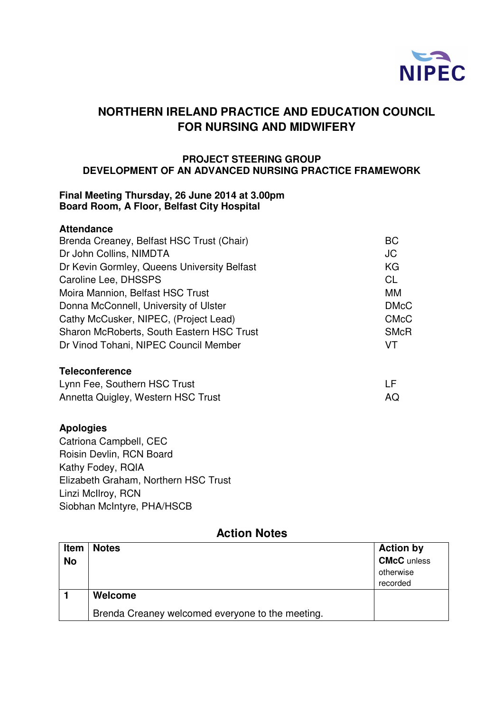

# **NORTHERN IRELAND PRACTICE AND EDUCATION COUNCIL FOR NURSING AND MIDWIFERY**

#### **PROJECT STEERING GROUP DEVELOPMENT OF AN ADVANCED NURSING PRACTICE FRAMEWORK**

#### **Final Meeting Thursday, 26 June 2014 at 3.00pm Board Room, A Floor, Belfast City Hospital**

#### **Attendance**

| Brenda Creaney, Belfast HSC Trust (Chair)   | <b>BC</b>   |
|---------------------------------------------|-------------|
| Dr John Collins, NIMDTA                     | JC          |
| Dr Kevin Gormley, Queens University Belfast | KG          |
| Caroline Lee, DHSSPS                        | <b>CL</b>   |
| Moira Mannion, Belfast HSC Trust            | MM          |
| Donna McConnell, University of Ulster       | <b>DMcC</b> |
| Cathy McCusker, NIPEC, (Project Lead)       | <b>CMcC</b> |
| Sharon McRoberts, South Eastern HSC Trust   | <b>SMcR</b> |
| Dr Vinod Tohani, NIPEC Council Member       | VT          |
|                                             |             |

### **Teleconference**

| Lynn Fee, Southern HSC Trust       |     |
|------------------------------------|-----|
| Annetta Quigley, Western HSC Trust | AQ. |

#### **Apologies**

Catriona Campbell, CEC Roisin Devlin, RCN Board Kathy Fodey, RQIA Elizabeth Graham, Northern HSC Trust Linzi McIlroy, RCN Siobhan McIntyre, PHA/HSCB

## **Action Notes**

| <b>Item</b> | <b>Notes</b>                                     | <b>Action by</b>   |
|-------------|--------------------------------------------------|--------------------|
| <b>No</b>   |                                                  | <b>CMcC</b> unless |
|             |                                                  | otherwise          |
|             |                                                  | recorded           |
|             | Welcome                                          |                    |
|             | Brenda Creaney welcomed everyone to the meeting. |                    |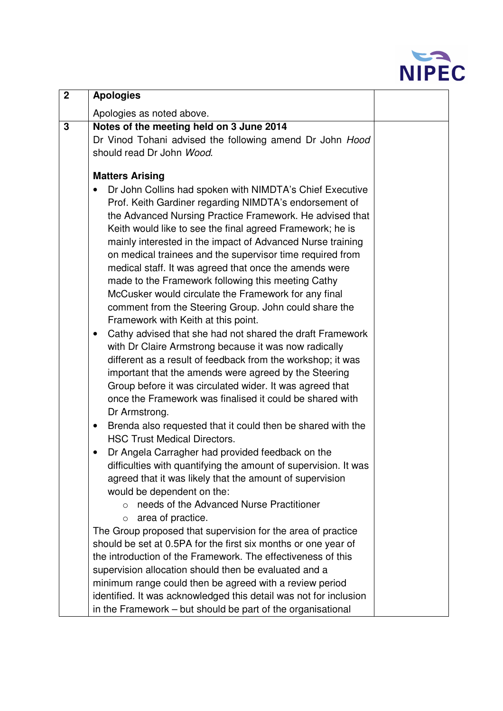

| $\mathbf 2$ | <b>Apologies</b>                                                                                                                                                                                                                                                                                                                                                                                                                                                                                                                                                                                                                                                                                                                                                                                                                                                                                                                                                                                                                                                                                                                                                                                                                                                                                                                                                                                                                                                             |  |
|-------------|------------------------------------------------------------------------------------------------------------------------------------------------------------------------------------------------------------------------------------------------------------------------------------------------------------------------------------------------------------------------------------------------------------------------------------------------------------------------------------------------------------------------------------------------------------------------------------------------------------------------------------------------------------------------------------------------------------------------------------------------------------------------------------------------------------------------------------------------------------------------------------------------------------------------------------------------------------------------------------------------------------------------------------------------------------------------------------------------------------------------------------------------------------------------------------------------------------------------------------------------------------------------------------------------------------------------------------------------------------------------------------------------------------------------------------------------------------------------------|--|
|             | Apologies as noted above.                                                                                                                                                                                                                                                                                                                                                                                                                                                                                                                                                                                                                                                                                                                                                                                                                                                                                                                                                                                                                                                                                                                                                                                                                                                                                                                                                                                                                                                    |  |
| 3           | Notes of the meeting held on 3 June 2014<br>Dr Vinod Tohani advised the following amend Dr John Hood<br>should read Dr John Wood.                                                                                                                                                                                                                                                                                                                                                                                                                                                                                                                                                                                                                                                                                                                                                                                                                                                                                                                                                                                                                                                                                                                                                                                                                                                                                                                                            |  |
|             | <b>Matters Arising</b><br>Dr John Collins had spoken with NIMDTA's Chief Executive<br>Prof. Keith Gardiner regarding NIMDTA's endorsement of<br>the Advanced Nursing Practice Framework. He advised that<br>Keith would like to see the final agreed Framework; he is<br>mainly interested in the impact of Advanced Nurse training<br>on medical trainees and the supervisor time required from<br>medical staff. It was agreed that once the amends were<br>made to the Framework following this meeting Cathy<br>McCusker would circulate the Framework for any final<br>comment from the Steering Group. John could share the<br>Framework with Keith at this point.<br>Cathy advised that she had not shared the draft Framework<br>٠<br>with Dr Claire Armstrong because it was now radically<br>different as a result of feedback from the workshop; it was<br>important that the amends were agreed by the Steering<br>Group before it was circulated wider. It was agreed that<br>once the Framework was finalised it could be shared with<br>Dr Armstrong.<br>Brenda also requested that it could then be shared with the<br>٠<br><b>HSC Trust Medical Directors.</b><br>Dr Angela Carragher had provided feedback on the<br>difficulties with quantifying the amount of supervision. It was<br>agreed that it was likely that the amount of supervision<br>would be dependent on the:<br>needs of the Advanced Nurse Practitioner<br>area of practice.<br>$\circ$ |  |
|             | The Group proposed that supervision for the area of practice<br>should be set at 0.5PA for the first six months or one year of<br>the introduction of the Framework. The effectiveness of this                                                                                                                                                                                                                                                                                                                                                                                                                                                                                                                                                                                                                                                                                                                                                                                                                                                                                                                                                                                                                                                                                                                                                                                                                                                                               |  |
|             | supervision allocation should then be evaluated and a<br>minimum range could then be agreed with a review period                                                                                                                                                                                                                                                                                                                                                                                                                                                                                                                                                                                                                                                                                                                                                                                                                                                                                                                                                                                                                                                                                                                                                                                                                                                                                                                                                             |  |
|             | identified. It was acknowledged this detail was not for inclusion<br>in the Framework - but should be part of the organisational                                                                                                                                                                                                                                                                                                                                                                                                                                                                                                                                                                                                                                                                                                                                                                                                                                                                                                                                                                                                                                                                                                                                                                                                                                                                                                                                             |  |